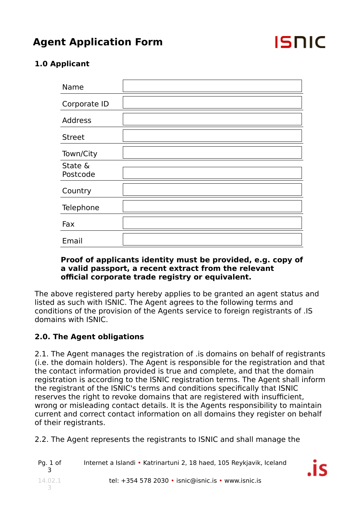## **Agent Application Form**



## **1.0 Applicant**

| Name                |  |
|---------------------|--|
| Corporate ID        |  |
| <b>Address</b>      |  |
| <b>Street</b>       |  |
| Town/City           |  |
| State &<br>Postcode |  |
| Country             |  |
| Telephone           |  |
| Fax                 |  |
| Email               |  |

#### **Proof of applicants identity must be provided, e.g. copy of a valid passport, a recent extract from the relevant official corporate trade registry or equivalent.**

The above registered party hereby applies to be granted an agent status and listed as such with ISNIC. The Agent agrees to the following terms and conditions of the provision of the Agents service to foreign registrants of .IS domains with ISNIC.

## **2.0. The Agent obligations**

2.1. The Agent manages the registration of .is domains on behalf of registrants (i.e. the domain holders). The Agent is responsible for the registration and that the contact information provided is true and complete, and that the domain registration is according to the ISNIC registration terms. The Agent shall inform the registrant of the ISNIC's terms and conditions specifically that ISNIC reserves the right to revoke domains that are registered with insufficient, wrong or misleading contact details. It is the Agents responsibility to maintain current and correct contact information on all domains they register on behalf of their registrants.

2.2. The Agent represents the registrants to ISNIC and shall manage the

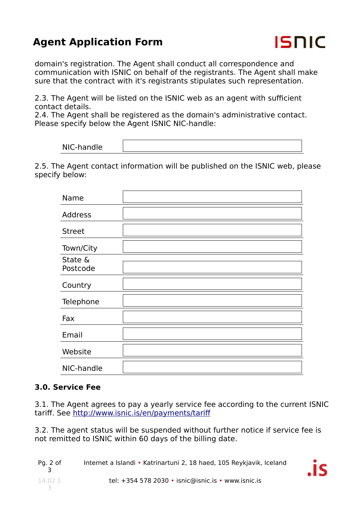# **Agent Application Form**



domain's registration. The Agent shall conduct all correspondence and communication with ISNIC on behalf of the registrants. The Agent shall make sure that the contract with it's registrants stipulates such representation.

2.3. The Agent will be listed on the ISNIC web as an agent with sufficient contact details.

2.4. The Agent shall be registered as the domain's administrative contact. Please specify below the Agent ISNIC NIC-handle:

2.5. The Agent contact information will be published on the ISNIC web, please specify below:

| Name                |  |
|---------------------|--|
| <b>Address</b>      |  |
| <b>Street</b>       |  |
| Town/City           |  |
| State &<br>Postcode |  |
| Country             |  |
| Telephone           |  |
| Fax                 |  |
| Email               |  |
| Website             |  |
| NIC-handle          |  |

### **3.0. Service Fee**

3.1. The Agent agrees to pay a yearly service fee according to the current ISNIC tariff. See http://www.isnic.is/en/payments/tariff

3.2. The agent status will be suspended without further notice if service fee is not remitted to ISNIC within 60 days of the billing date.